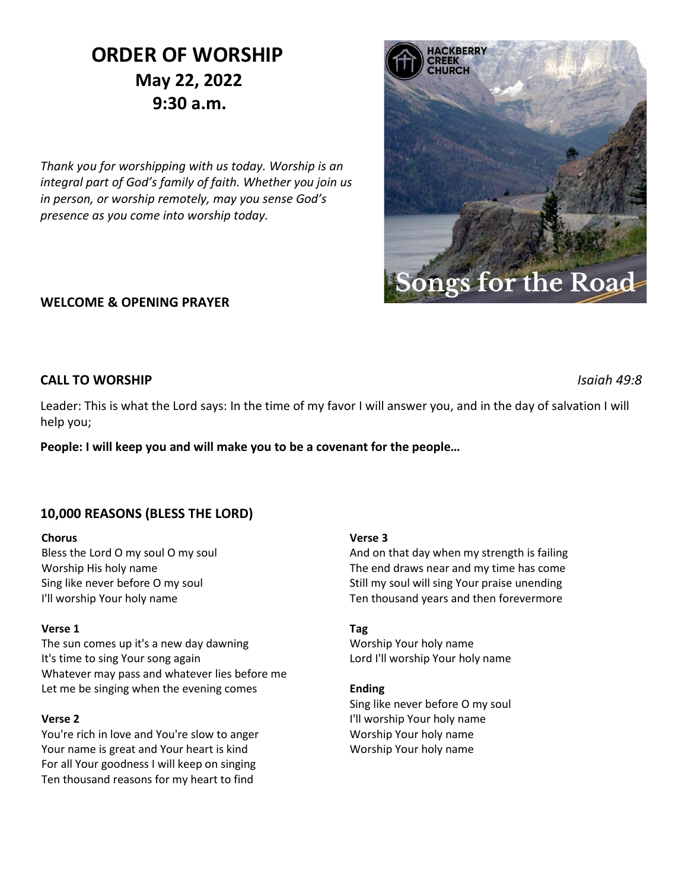# **ORDER OF WORSHIP May 22, 2022 9:30 a.m.**

*Thank you for worshipping with us today. Worship is an integral part of God's family of faith. Whether you join us in person, or worship remotely, may you sense God's presence as you come into worship today.*

# **WELCOME & OPENING PRAYER**

# **CALL TO WORSHIP** *Isaiah 49:8*

Leader: This is what the Lord says: In the time of my favor I will answer you, and in the day of salvation I will help you;

**People: I will keep you and will make you to be a covenant for the people…**

# **10,000 REASONS (BLESS THE LORD)**

#### **Chorus**

Bless the Lord O my soul O my soul Worship His holy name Sing like never before O my soul I'll worship Your holy name

### **Verse 1**

The sun comes up it's a new day dawning It's time to sing Your song again Whatever may pass and whatever lies before me Let me be singing when the evening comes

### **Verse 2**

You're rich in love and You're slow to anger Your name is great and Your heart is kind For all Your goodness I will keep on singing Ten thousand reasons for my heart to find

### **Verse 3**

And on that day when my strength is failing The end draws near and my time has come Still my soul will sing Your praise unending Ten thousand years and then forevermore

#### **Tag**

Worship Your holy name Lord I'll worship Your holy name

### **Ending**

Sing like never before O my soul I'll worship Your holy name Worship Your holy name Worship Your holy name

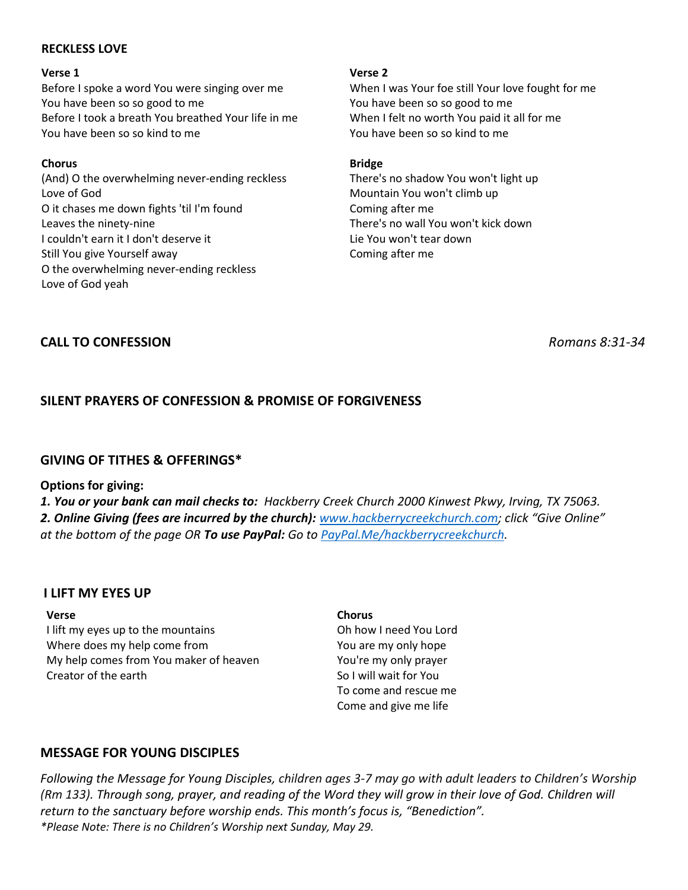# **RECKLESS LOVE**

# **Verse 1**

Before I spoke a word You were singing over me You have been so so good to me Before I took a breath You breathed Your life in me You have been so so kind to me

# **Chorus**

(And) O the overwhelming never-ending reckless Love of God O it chases me down fights 'til I'm found Leaves the ninety-nine I couldn't earn it I don't deserve it Still You give Yourself away O the overwhelming never-ending reckless Love of God yeah

# **Verse 2**

When I was Your foe still Your love fought for me You have been so so good to me When I felt no worth You paid it all for me You have been so so kind to me

# **Bridge**

There's no shadow You won't light up Mountain You won't climb up Coming after me There's no wall You won't kick down Lie You won't tear down Coming after me

# **CALL TO CONFESSION** *Romans 8:31-34*

# **SILENT PRAYERS OF CONFESSION & PROMISE OF FORGIVENESS**

# **GIVING OF TITHES & OFFERINGS\***

# **Options for giving:**

*1. You or your bank can mail checks to: Hackberry Creek Church 2000 Kinwest Pkwy, Irving, TX 75063. 2. Online Giving (fees are incurred by the church): [www.hackberrycreekchurch.com](http://www.hackberrycreekchurch.com/); click "Give Online" at the bottom of the page OR To use PayPal: Go to [PayPal.Me/hackberrycreekchurch.](mailto:PayPal.Me/hackberrycreekchurch)*

# **I LIFT MY EYES UP**

### **Verse**

I lift my eyes up to the mountains Where does my help come from My help comes from You maker of heaven Creator of the earth

**Chorus**

Oh how I need You Lord You are my only hope You're my only prayer So I will wait for You To come and rescue me Come and give me life

# **MESSAGE FOR YOUNG DISCIPLES**

*Following the Message for Young Disciples, children ages 3-7 may go with adult leaders to Children's Worship (Rm 133). Through song, prayer, and reading of the Word they will grow in their love of God. Children will return to the sanctuary before worship ends. This month's focus is, "Benediction". \*Please Note: There is no Children's Worship next Sunday, May 29.*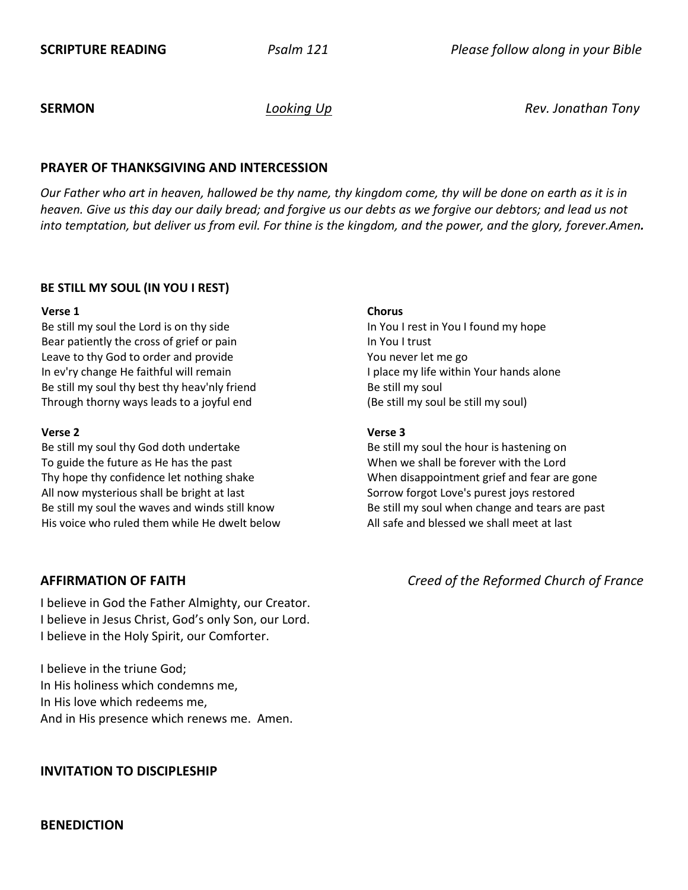**SCRIPTURE READING** *Psalm 121 Please follow along in your Bible*

**SERMON** *Looking Up Rev. Jonathan Tony*

## **PRAYER OF THANKSGIVING AND INTERCESSION**

*Our Father who art in heaven, hallowed be thy name, thy kingdom come, thy will be done on earth as it is in heaven. Give us this day our daily bread; and forgive us our debts as we forgive our debtors; and lead us not into temptation, but deliver us from evil. For thine is the kingdom, and the power, and the glory, forever.Amen.*

#### **BE STILL MY SOUL (IN YOU I REST)**

#### **Verse 1**

Be still my soul the Lord is on thy side Bear patiently the cross of grief or pain Leave to thy God to order and provide In ev'ry change He faithful will remain Be still my soul thy best thy heav'nly friend Through thorny ways leads to a joyful end

#### **Verse 2**

Be still my soul thy God doth undertake To guide the future as He has the past Thy hope thy confidence let nothing shake All now mysterious shall be bright at last Be still my soul the waves and winds still know His voice who ruled them while He dwelt below

I believe in God the Father Almighty, our Creator. I believe in Jesus Christ, God's only Son, our Lord. I believe in the Holy Spirit, our Comforter.

I believe in the triune God; In His holiness which condemns me, In His love which redeems me, And in His presence which renews me. Amen.

### **INVITATION TO DISCIPLESHIP**

**Chorus**

In You I rest in You I found my hope In You I trust You never let me go I place my life within Your hands alone Be still my soul (Be still my soul be still my soul)

#### **Verse 3**

Be still my soul the hour is hastening on When we shall be forever with the Lord When disappointment grief and fear are gone Sorrow forgot Love's purest joys restored Be still my soul when change and tears are past All safe and blessed we shall meet at last

**AFFIRMATION OF FAITH** *Creed of the Reformed Church of France*

**BENEDICTION**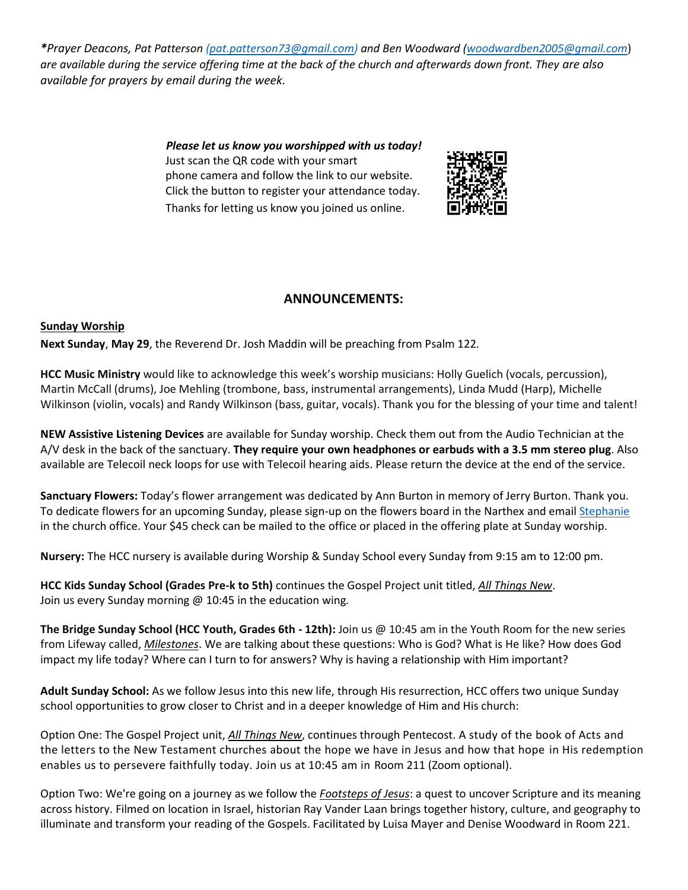*\*Prayer Deacons, Pat Patterson [\(pat.patterson73@gmail.com\)](mailto:pat.patterson73@gmail.com) and Ben Woodward [\(woodwardben2005@gmail.com](mailto:woodwardben2005@gmail.com)*) *are available during the service offering time at the back of the church and afterwards down front. They are also available for prayers by email during the week.*

> *Please let us know you worshipped with us today!* Just scan the QR code with your smart phone camera and follow the link to our website. Click the button to register your attendance today. Thanks for letting us know you joined us online.



# **ANNOUNCEMENTS:**

#### **Sunday Worship**

**Next Sunday**, **May 29**, the Reverend Dr. Josh Maddin will be preaching from Psalm 122*.*

**HCC Music Ministry** would like to acknowledge this week's worship musicians: Holly Guelich (vocals, percussion), Martin McCall (drums), Joe Mehling (trombone, bass, instrumental arrangements), Linda Mudd (Harp), Michelle Wilkinson (violin, vocals) and Randy Wilkinson (bass, guitar, vocals). Thank you for the blessing of your time and talent!

**NEW Assistive Listening Devices** are available for Sunday worship. Check them out from the Audio Technician at the A/V desk in the back of the sanctuary. **They require your own headphones or earbuds with a 3.5 mm stereo plug**. Also available are Telecoil neck loops for use with Telecoil hearing aids. Please return the device at the end of the service.

**Sanctuary Flowers:** Today's flower arrangement was dedicated by Ann Burton in memory of Jerry Burton. Thank you. To dedicate flowers for an upcoming Sunday, please sign-up on the flowers board in the Narthex and emai[l Stephanie](mailto:admin@hackberrycreekchurch.com) in the church office. Your \$45 check can be mailed to the office or placed in the offering plate at Sunday worship.

**Nursery:** The HCC nursery is available during Worship & Sunday School every Sunday from 9:15 am to 12:00 pm.

**HCC Kids Sunday School (Grades Pre-k to 5th)** continues the Gospel Project unit titled, *All Things New*. Join us every Sunday morning @ 10:45 in the education wing*.* 

**The Bridge Sunday School (HCC Youth, Grades 6th - 12th):** Join us @ 10:45 am in the Youth Room for the new series from Lifeway called, *Milestones*. We are talking about these questions: Who is God? What is He like? How does God impact my life today? Where can I turn to for answers? Why is having a relationship with Him important?

**Adult Sunday School:** As we follow Jesus into this new life, through His resurrection, HCC offers two unique Sunday school opportunities to grow closer to Christ and in a deeper knowledge of Him and His church:

Option One: The Gospel Project unit, *All Things New*, continues through Pentecost. A study of the book of Acts and the letters to the New Testament churches about the hope we have in Jesus and how that hope in His redemption enables us to persevere faithfully today. Join us at 10:45 am in Room 211 (Zoom optional).

Option Two: We're going on a journey as we follow the *Footsteps of Jesus*: a quest to uncover Scripture and its meaning across history. Filmed on location in Israel, historian Ray Vander Laan brings together history, culture, and geography to illuminate and transform your reading of the Gospels. Facilitated by Luisa Mayer and Denise Woodward in Room 221.